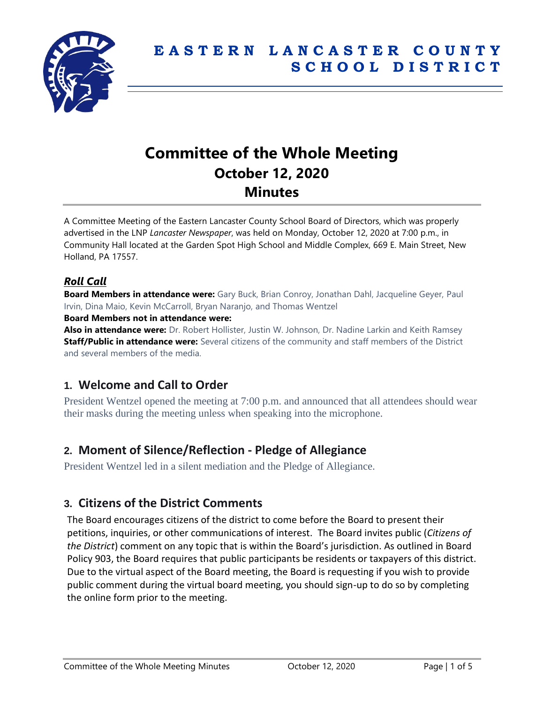

# **Committee of the Whole Meeting October 12, 2020 Minutes**

A Committee Meeting of the Eastern Lancaster County School Board of Directors, which was properly advertised in the LNP *Lancaster Newspaper*, was held on Monday, October 12, 2020 at 7:00 p.m., in Community Hall located at the Garden Spot High School and Middle Complex, 669 E. Main Street, New Holland, PA 17557.

# *Roll Call*

**Board Members in attendance were:** Gary Buck, Brian Conroy, Jonathan Dahl, Jacqueline Geyer, Paul Irvin, Dina Maio, Kevin McCarroll, Bryan Naranjo, and Thomas Wentzel

#### **Board Members not in attendance were:**

**Also in attendance were:** Dr. Robert Hollister, Justin W. Johnson, Dr. Nadine Larkin and Keith Ramsey **Staff/Public in attendance were:** Several citizens of the community and staff members of the District and several members of the media.

# **1. Welcome and Call to Order**

President Wentzel opened the meeting at 7:00 p.m. and announced that all attendees should wear their masks during the meeting unless when speaking into the microphone.

# **2. Moment of Silence/Reflection - Pledge of Allegiance**

President Wentzel led in a silent mediation and the Pledge of Allegiance.

# **3. Citizens of the District Comments**

The Board encourages citizens of the district to come before the Board to present their petitions, inquiries, or other communications of interest. The Board invites public (*Citizens of the District*) comment on any topic that is within the Board's jurisdiction. As outlined in Board Policy 903, the Board requires that public participants be residents or taxpayers of this district. Due to the virtual aspect of the Board meeting, the Board is requesting if you wish to provide public comment during the virtual board meeting, you should sign-up to do so by completing the online form prior to the meeting.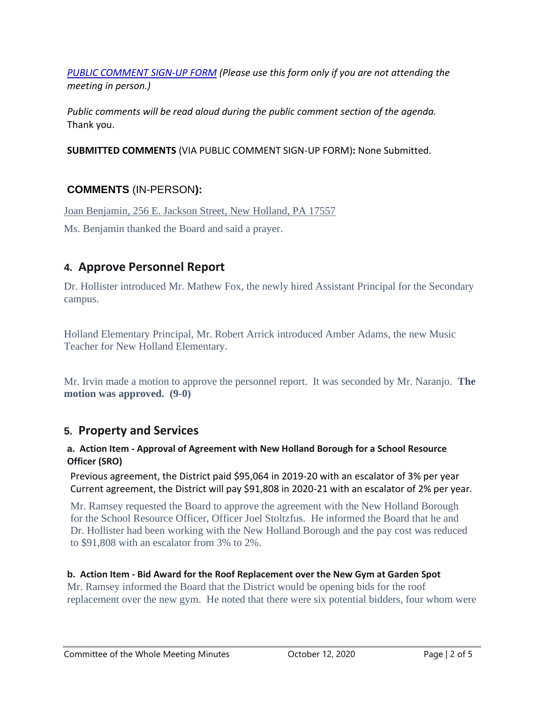*[PUBLIC COMMENT SIGN-UP FORM](https://forms.gle/zDXXoX8rZQUxt1Ap6) (Please use this form only if you are not attending the meeting in person.)*

*Public comments will be read aloud during the public comment section of the agenda.* Thank you.

**SUBMITTED COMMENTS** (VIA PUBLIC COMMENT SIGN-UP FORM)**:** None Submitted.

### **COMMENTS** (IN-PERSON**):**

Joan Benjamin, 256 E. Jackson Street, New Holland, PA 17557

Ms. Benjamin thanked the Board and said a prayer.

# **4. Approve Personnel Report**

Dr. Hollister introduced Mr. Mathew Fox, the newly hired Assistant Principal for the Secondary campus.

Holland Elementary Principal, Mr. Robert Arrick introduced Amber Adams, the new Music Teacher for New Holland Elementary.

Mr. Irvin made a motion to approve the personnel report. It was seconded by Mr. Naranjo. **The motion was approved. (9-0)**

# **5. Property and Services**

#### **a. Action Item - Approval of Agreement with New Holland Borough for a School Resource Officer (SRO)**

Previous agreement, the District paid \$95,064 in 2019-20 with an escalator of 3% per year Current agreement, the District will pay \$91,808 in 2020-21 with an escalator of 2% per year.

Mr. Ramsey requested the Board to approve the agreement with the New Holland Borough for the School Resource Officer, Officer Joel Stoltzfus. He informed the Board that he and Dr. Hollister had been working with the New Holland Borough and the pay cost was reduced to \$91,808 with an escalator from 3% to 2%.

**b. Action Item - Bid Award for the Roof Replacement over the New Gym at Garden Spot** Mr. Ramsey informed the Board that the District would be opening bids for the roof replacement over the new gym. He noted that there were six potential bidders, four whom were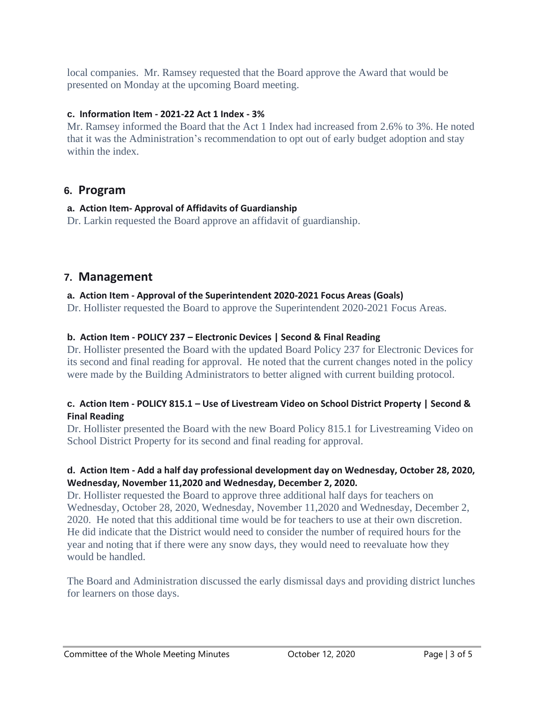local companies. Mr. Ramsey requested that the Board approve the Award that would be presented on Monday at the upcoming Board meeting.

#### **c. Information Item - 2021-22 Act 1 Index - 3%**

Mr. Ramsey informed the Board that the Act 1 Index had increased from 2.6% to 3%. He noted that it was the Administration's recommendation to opt out of early budget adoption and stay within the index.

### **6. Program**

#### **a. Action Item- Approval of Affidavits of Guardianship**

Dr. Larkin requested the Board approve an affidavit of guardianship.

### **7. Management**

#### **a. Action Item - Approval of the Superintendent 2020-2021 Focus Areas (Goals)**

Dr. Hollister requested the Board to approve the Superintendent 2020-2021 Focus Areas.

#### **b. Action Item - POLICY 237 – Electronic Devices | Second & Final Reading**

Dr. Hollister presented the Board with the updated Board Policy 237 for Electronic Devices for its second and final reading for approval. He noted that the current changes noted in the policy were made by the Building Administrators to better aligned with current building protocol.

#### **c. Action Item - POLICY 815.1 – Use of Livestream Video on School District Property | Second & Final Reading**

Dr. Hollister presented the Board with the new Board Policy 815.1 for Livestreaming Video on School District Property for its second and final reading for approval.

#### **d. Action Item - Add a half day professional development day on Wednesday, October 28, 2020, Wednesday, November 11,2020 and Wednesday, December 2, 2020.**

Dr. Hollister requested the Board to approve three additional half days for teachers on Wednesday, October 28, 2020, Wednesday, November 11,2020 and Wednesday, December 2, 2020. He noted that this additional time would be for teachers to use at their own discretion. He did indicate that the District would need to consider the number of required hours for the year and noting that if there were any snow days, they would need to reevaluate how they would be handled.

The Board and Administration discussed the early dismissal days and providing district lunches for learners on those days.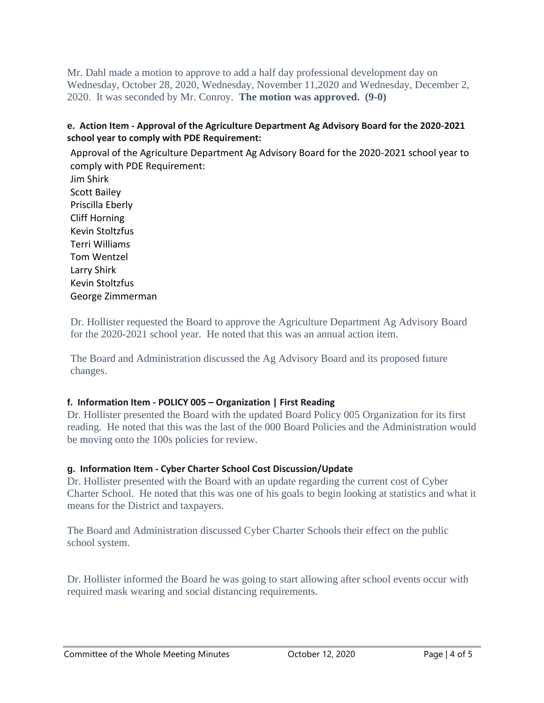Mr. Dahl made a motion to approve to add a half day professional development day on Wednesday, October 28, 2020, Wednesday, November 11,2020 and Wednesday, December 2, 2020. It was seconded by Mr. Conroy. **The motion was approved. (9-0)**

#### **e. Action Item - Approval of the Agriculture Department Ag Advisory Board for the 2020-2021 school year to comply with PDE Requirement:**

Approval of the Agriculture Department Ag Advisory Board for the 2020-2021 school year to comply with PDE Requirement: Jim Shirk Scott Bailey Priscilla Eberly Cliff Horning Kevin Stoltzfus Terri Williams Tom Wentzel Larry Shirk Kevin Stoltzfus George Zimmerman

Dr. Hollister requested the Board to approve the Agriculture Department Ag Advisory Board for the 2020-2021 school year. He noted that this was an annual action item.

The Board and Administration discussed the Ag Advisory Board and its proposed future changes.

#### **f. Information Item - POLICY 005 – Organization | First Reading**

Dr. Hollister presented the Board with the updated Board Policy 005 Organization for its first reading. He noted that this was the last of the 000 Board Policies and the Administration would be moving onto the 100s policies for review.

#### **g. Information Item - Cyber Charter School Cost Discussion/Update**

Dr. Hollister presented with the Board with an update regarding the current cost of Cyber Charter School. He noted that this was one of his goals to begin looking at statistics and what it means for the District and taxpayers.

The Board and Administration discussed Cyber Charter Schools their effect on the public school system.

Dr. Hollister informed the Board he was going to start allowing after school events occur with required mask wearing and social distancing requirements.